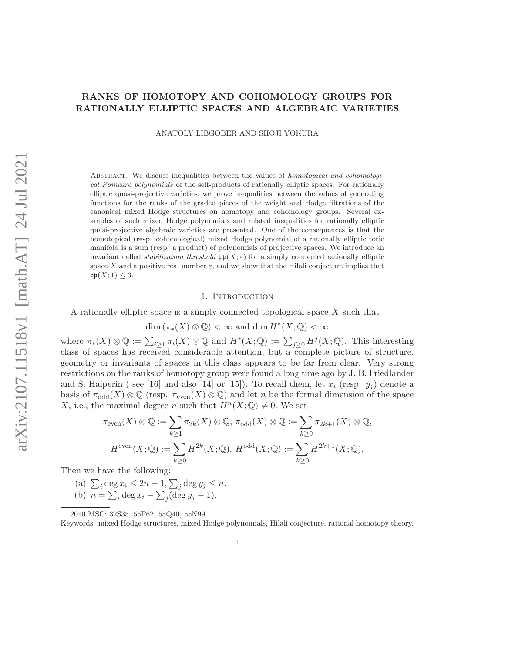# RANKS OF HOMOTOPY AND COHOMOLOGY GROUPS FOR RATIONALLY ELLIPTIC SPACES AND ALGEBRAIC VARIETIES

ANATOLY LIBGOBER AND SHOJI YOKURA

Abstract. We discuss inequalities between the values of homotopical and cohomological Poincaré polynomials of the self-products of rationally elliptic spaces. For rationally elliptic quasi-projective varieties, we prove inequalities between the values of generating functions for the ranks of the graded pieces of the weight and Hodge filtrations of the canonical mixed Hodge structures on homotopy and cohomology groups. Several examples of such mixed Hodge polynomials and related inequalities for rationally elliptic quasi-projective algebraic varieties are presented. One of the consequences is that the homotopical (resp. cohomological) mixed Hodge polynomial of a rationally elliptic toric manifold is a sum (resp. a product) of polynomials of projective spaces. We introduce an invariant called *stabilization threshold*  $pp(X; \varepsilon)$  for a simply connected rationally elliptic space X and a positive real number  $\varepsilon$ , and we show that the Hilali conjecture implies that  $pp(X; 1) \leq 3$ .

## 1. INTRODUCTION

A rationally elliptic space is a simply connected topological space X such that

 $\dim (\pi_*(X) \otimes \mathbb{Q}) < \infty$  and  $\dim H^*(X; \mathbb{Q}) < \infty$ 

where  $\pi_*(X) \otimes \mathbb{Q} := \sum_{i \geq 1} \pi_i(X) \otimes \mathbb{Q}$  and  $H^*(X; \mathbb{Q}) := \sum_{j \geq 0} H^j(X; \mathbb{Q})$ . This interesting class of spaces has received considerable attention, but a complete picture of structure, geometry or invariants of spaces in this class appears to be far from clear. Very strong restrictions on the ranks of homotopy group were found a long time ago by J. B. Friedlander and S. Halperin (see [16] and also [14] or [15]). To recall them, let  $x_i$  (resp.  $y_j$ ) denote a basis of  $\pi_{odd}(X) \otimes \mathbb{Q}$  (resp.  $\pi_{even}(X) \otimes \mathbb{Q}$ ) and let n be the formal dimension of the space X, i.e., the maximal degree n such that  $H^{n}(X; \mathbb{Q}) \neq 0$ . We set

$$
\pi_{\text{even}}(X) \otimes \mathbb{Q} := \sum_{k \ge 1} \pi_{2k}(X) \otimes \mathbb{Q}, \pi_{\text{odd}}(X) \otimes \mathbb{Q} := \sum_{k \ge 0} \pi_{2k+1}(X) \otimes \mathbb{Q},
$$
  

$$
H^{\text{even}}(X; \mathbb{Q}) := \sum_{k \ge 0} H^{2k}(X; \mathbb{Q}), H^{\text{odd}}(X; \mathbb{Q}) := \sum_{k \ge 0} H^{2k+1}(X; \mathbb{Q}).
$$

Then we have the following:

(a)  $\sum_i \deg x_i \leq 2n-1, \sum_j \deg y_j \leq n$ . (b)  $n = \sum_i \deg x_i - \sum_j (\deg y_j - 1).$ 

<sup>2010</sup> MSC: 32S35, 55P62, 55Q40, 55N99.

Keywords: mixed Hodge structures, mixed Hodge polynomials, Hilali conjecture, rational homotopy theory.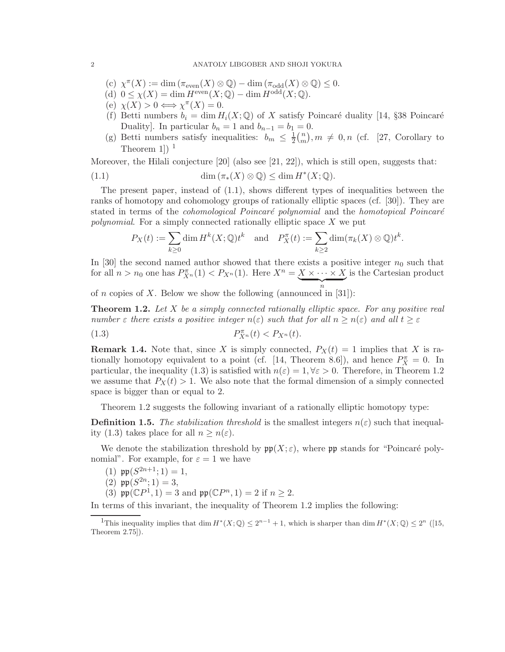- (c)  $\chi^{\pi}(X) := \dim (\pi_{\text{even}}(X) \otimes \mathbb{Q}) \dim (\pi_{\text{odd}}(X) \otimes \mathbb{Q}) \leq 0.$
- (d)  $0 \le \chi(X) = \dim H^{\text{even}}(X; \mathbb{Q}) \dim H^{\text{odd}}(X; \mathbb{Q}).$
- (e)  $\chi(X) > 0 \Longleftrightarrow \chi^{\pi}(X) = 0.$
- (f) Betti numbers  $b_i = \dim H_i(X; \mathbb{Q})$  of X satisfy Poincaré duality [14, §38 Poincaré Duality]. In particular  $b_n = 1$  and  $b_{n-1} = b_1 = 0$ .
- (g) Betti numbers satisfy inequalities:  $b_m \leq \frac{1}{2}$  $rac{1}{2}$  $\binom{n}{m}$  $\binom{n}{m}$ ,  $m \neq 0, n$  (cf. [27, Corollary to Theorem 1])  $<sup>1</sup>$ </sup>

Moreover, the Hilali conjecture  $[20]$  (also see  $[21, 22]$ ), which is still open, suggests that:

(1.1) 
$$
\dim (\pi_*(X) \otimes \mathbb{Q}) \leq \dim H^*(X; \mathbb{Q}).
$$

The present paper, instead of  $(1.1)$ , shows different types of inequalities between the ranks of homotopy and cohomology groups of rationally elliptic spaces (cf. [30]). They are stated in terms of the *cohomological Poincaré polynomial* and the *homotopical Poincaré polynomial*. For a simply connected rationally elliptic space X we put

$$
P_X(t) := \sum_{k \ge 0} \dim H^k(X; \mathbb{Q}) t^k \quad \text{and} \quad P_X^{\pi}(t) := \sum_{k \ge 2} \dim (\pi_k(X) \otimes \mathbb{Q}) t^k.
$$

In [30] the second named author showed that there exists a positive integer  $n_0$  such that for all  $n > n_0$  one has  $P_{X^n}^{\pi}(1) < P_{X^n}(1)$ . Here  $X^n = \underbrace{X \times \cdots \times X}_{n}$ is the Cartesian product

of *n* copies of *X*. Below we show the following (announced in [31]):

Theorem 1.2. *Let* X *be a simply connected rationally elliptic space. For any positive real number*  $\varepsilon$  *there exists a positive integer*  $n(\varepsilon)$  *such that for all*  $n \geq n(\varepsilon)$  *and all*  $t \geq \varepsilon$ 

$$
(1.3) \t\t P_{X^n}^{\pi}(t) < P_{X^n}(t).
$$

**Remark 1.4.** Note that, since X is simply connected,  $P_X(t) = 1$  implies that X is rationally homotopy equivalent to a point (cf. [14, Theorem 8.6]), and hence  $P_X^{\pi} = 0$ . In particular, the inequality (1.3) is satisfied with  $n(\varepsilon) = 1, \forall \varepsilon > 0$ . Therefore, in Theorem 1.2 we assume that  $P_X(t) > 1$ . We also note that the formal dimension of a simply connected space is bigger than or equal to 2.

Theorem 1.2 suggests the following invariant of a rationally elliptic homotopy type:

**Definition 1.5.** The stabilization threshold is the smallest integers  $n(\varepsilon)$  such that inequality (1.3) takes place for all  $n \geq n(\varepsilon)$ .

We denote the stabilization threshold by  $\mathfrak{pp}(X;\varepsilon)$ , where  $\mathfrak{pp}$  stands for "Poincaré polynomial". For example, for  $\varepsilon = 1$  we have

- (1)  $\mathfrak{pp}(S^{2n+1}; 1) = 1$ ,
- (2)  $pp(S^{2n}; 1) = 3$ ,
- (3)  $\mathfrak{pp}(\mathbb{C}P^1, 1) = 3$  and  $\mathfrak{pp}(\mathbb{C}P^n, 1) = 2$  if  $n \geq 2$ .

In terms of this invariant, the inequality of Theorem 1.2 implies the following:

<sup>1</sup>This inequality implies that dim  $H^*(X; \mathbb{Q}) \leq 2^{n-1} + 1$ , which is sharper than dim  $H^*(X; \mathbb{Q}) \leq 2^n$  ([15, Theorem 2.75]).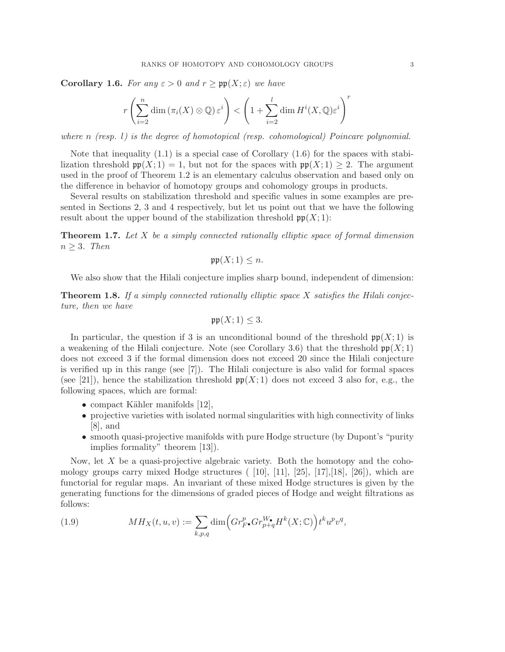**Corollary 1.6.** *For any*  $\varepsilon > 0$  *and*  $r \geq \text{pp}(X; \varepsilon)$  *we have* 

$$
r\left(\sum_{i=2}^n \dim\left(\pi_i(X)\otimes\mathbb{Q}\right)\varepsilon^i\right) < \left(1 + \sum_{i=2}^l \dim H^i(X,\mathbb{Q})\varepsilon^i\right)^r
$$

*where* n *(resp.* l*) is the degree of homotopical (resp. cohomological) Poincare polynomial.*

Note that inequality  $(1.1)$  is a special case of Corollary  $(1.6)$  for the spaces with stabilization threshold  $\mathfrak{pp}(X; 1) = 1$ , but not for the spaces with  $\mathfrak{pp}(X; 1) \geq 2$ . The argument used in the proof of Theorem 1.2 is an elementary calculus observation and based only on the difference in behavior of homotopy groups and cohomology groups in products.

Several results on stabilization threshold and specific values in some examples are presented in Sections 2, 3 and 4 respectively, but let us point out that we have the following result about the upper bound of the stabilization threshold  $\mathfrak{pp}(X;1)$ :

Theorem 1.7. *Let* X *be a simply connected rationally elliptic space of formal dimension*  $n \geq 3$ *. Then* 

$$
\mathfrak{pp}(X;1)\leq n.
$$

We also show that the Hilali conjecture implies sharp bound, independent of dimension:

Theorem 1.8. *If a simply connected rationally elliptic space* X *satisfies the Hilali conjecture, then we have*

$$
\mathfrak{pp}(X;1) \leq 3.
$$

In particular, the question if 3 is an unconditional bound of the threshold  $\mathfrak{pp}(X;1)$  is a weakening of the Hilali conjecture. Note (see Corollary 3.6) that the threshold  $\mathfrak{pp}(X;1)$ does not exceed 3 if the formal dimension does not exceed 20 since the Hilali conjecture is verified up in this range (see [7]). The Hilali conjecture is also valid for formal spaces (see [21]), hence the stabilization threshold  $\mathfrak{pp}(X;1)$  does not exceed 3 also for, e.g., the following spaces, which are formal:

- compact Kähler manifolds  $[12]$ ,
- projective varieties with isolated normal singularities with high connectivity of links [8], and
- smooth quasi-projective manifolds with pure Hodge structure (by Dupont's "purity") implies formality" theorem [13]).

Now, let  $X$  be a quasi-projective algebraic variety. Both the homotopy and the cohomology groups carry mixed Hodge structures  $(10]$ ,  $[11]$ ,  $[25]$ ,  $[17]$ ,  $[18]$ ,  $[26]$ ), which are functorial for regular maps. An invariant of these mixed Hodge structures is given by the generating functions for the dimensions of graded pieces of Hodge and weight filtrations as follows:

(1.9) 
$$
MH_X(t, u, v) := \sum_{k, p, q} \dim \left( Gr_{F^{\bullet}}^p Gr_{p+q}^{W_{\bullet}} H^k(X; \mathbb{C}) \right) t^k u^p v^q,
$$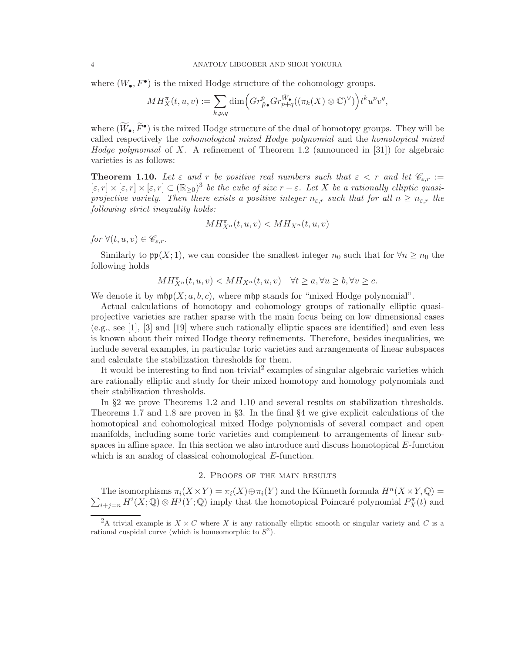where  $(W_{\bullet}, F^{\bullet})$  is the mixed Hodge structure of the cohomology groups.

$$
MH_X^{\pi}(t, u, v) := \sum_{k, p, q} \dim \left( Gr_{\tilde{F}^{\bullet}}^p Gr_{p+q}^{\tilde{W}_{\bullet}}((\pi_k(X) \otimes \mathbb{C})^{\vee}) \right) t^k u^p v^q,
$$

where  $(W_{\bullet}, F^{\bullet})$  is the mixed Hodge structure of the dual of homotopy groups. They will be called respectively the *cohomological mixed Hodge polynomial* and the *homotopical mixed Hodge polynomial* of X. A refinement of Theorem 1.2 (announced in [31]) for algebraic varieties is as follows:

**Theorem 1.10.** Let  $\varepsilon$  and  $r$  be positive real numbers such that  $\varepsilon < r$  and let  $\mathscr{C}_{\varepsilon,r} :=$  $[\varepsilon, r] \times [\varepsilon, r] \times [\varepsilon, r] \subset (\mathbb{R}_{\geq 0})^3$  *be the cube of size*  $r - \varepsilon$ . Let X *be a rationally elliptic quasiprojective variety. Then there exists a positive integer*  $n_{\varepsilon,r}$  *such that for all*  $n \geq n_{\varepsilon,r}$  *the following strict inequality holds:*

$$
MH_{X^n}^{\pi}(t,u,v) < MH_{X^n}(t,u,v)
$$

*for*  $\forall (t, u, v) \in \mathscr{C}_{\varepsilon,r}$ *.* 

Similarly to  $\mathfrak{pp}(X;1)$ , we can consider the smallest integer  $n_0$  such that for  $\forall n \geq n_0$  the following holds

$$
MH_{X^n}^{\pi}(t, u, v) < MH_{X^n}(t, u, v) \quad \forall t \ge a, \forall u \ge b, \forall v \ge c.
$$

We denote it by  $\operatorname{mhp}(X; a, b, c)$ , where  $\operatorname{mhp}$  stands for "mixed Hodge polynomial".

Actual calculations of homotopy and cohomology groups of rationally elliptic quasiprojective varieties are rather sparse with the main focus being on low dimensional cases (e.g., see [1], [3] and [19] where such rationally elliptic spaces are identified) and even less is known about their mixed Hodge theory refinements. Therefore, besides inequalities, we include several examples, in particular toric varieties and arrangements of linear subspaces and calculate the stabilization thresholds for them.

It would be interesting to find non-trivial<sup>2</sup> examples of singular algebraic varieties which are rationally elliptic and study for their mixed homotopy and homology polynomials and their stabilization thresholds.

In §2 we prove Theorems 1.2 and 1.10 and several results on stabilization thresholds. Theorems 1.7 and 1.8 are proven in §3. In the final §4 we give explicit calculations of the homotopical and cohomological mixed Hodge polynomials of several compact and open manifolds, including some toric varieties and complement to arrangements of linear subspaces in affine space. In this section we also introduce and discuss homotopical  $E$ -function which is an analog of classical cohomological E-function.

## 2. Proofs of the main results

The isomorphisms  $\pi_i(X \times Y) = \pi_i(X) \oplus \pi_i(Y)$  and the Künneth formula  $H^n(X \times Y, \mathbb{Q}) =$  $\sum_{i+j=n} H^i(X; \mathbb{Q}) \otimes H^j(Y; \mathbb{Q})$  imply that the homotopical Poincaré polynomial  $P_X^{\pi}(t)$  and

<sup>&</sup>lt;sup>2</sup>A trivial example is  $X \times C$  where X is any rationally elliptic smooth or singular variety and C is a rational cuspidal curve (which is homeomorphic to  $S^2$ ).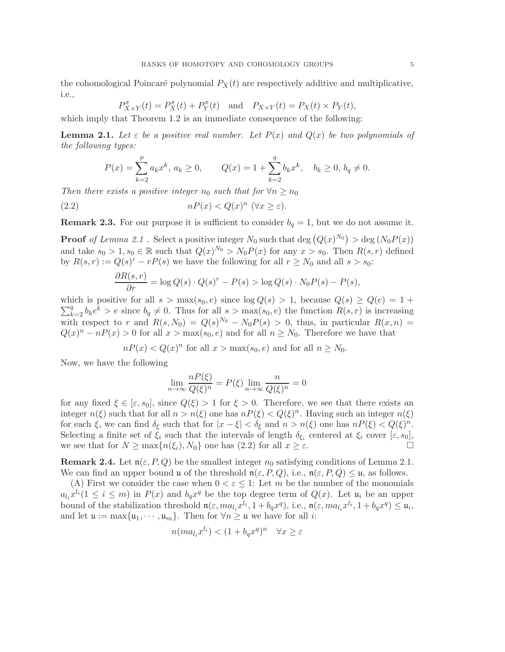the cohomological Poincaré polynomial  $P_X(t)$  are respectively additive and multiplicative, i.e.,

$$
P_{X\times Y}^{\pi}(t) = P_X^{\pi}(t) + P_Y^{\pi}(t)
$$
 and  $P_{X\times Y}(t) = P_X(t) \times P_Y(t)$ ,

which imply that Theorem 1.2 is an immediate consequence of the following:

**Lemma 2.1.** Let  $\varepsilon$  be a positive real number. Let  $P(x)$  and  $Q(x)$  be two polynomials of *the following types:*

$$
P(x) = \sum_{k=2}^{p} a_k x^k, \, a_k \ge 0, \qquad Q(x) = 1 + \sum_{k=2}^{q} b_k x^k, \quad b_k \ge 0, \, b_q \ne 0.
$$

*Then there exists a positive integer*  $n_0$  *such that for*  $\forall n \geq n_0$ 

(2.2) 
$$
nP(x) < Q(x)^n \quad (\forall x \ge \varepsilon).
$$

**Remark 2.3.** For our purpose it is sufficient to consider  $b<sub>q</sub> = 1$ , but we do not assume it.

**Proof** of Lemma 2.1. Select a positive integer  $N_0$  such that  $\deg(Q(x)^{N_0}) > \deg(N_0 P(x))$ and take  $s_0 > 1$ ,  $s_0 \in \mathbb{R}$  such that  $Q(x)^{N_0} > N_0 P(x)$  for any  $x > s_0$ . Then  $R(s, r)$  defined by  $R(s,r) := Q(s)^r - rP(s)$  we have the following for all  $r \geq N_0$  and all  $s > s_0$ :

$$
\frac{\partial R(s,r)}{\partial r} = \log Q(s) \cdot Q(s)^r - P(s) > \log Q(s) \cdot N_0 P(s) - P(s),
$$

 $\sum_{k=2}^{q} b_k e^{k} > e$  since  $b_q \neq 0$ . Thus for all  $s > \max(s_0, e)$  the function  $R(s,r)$  is increasing which is positive for all  $s > \max(s_0, e)$  since  $\log Q(s) > 1$ , because  $Q(s) \geq Q(e) = 1 +$ with respect to r and  $R(s, N_0) = Q(s)^{N_0} - N_0 P(s) > 0$ , thus, in particular  $R(x, n) =$  $Q(x)^n - nP(x) > 0$  for all  $x > \max(s_0, e)$  and for all  $n \geq N_0$ . Therefore we have that

$$
nP(x) < Q(x)^n \text{ for all } x > \max(s_0, e) \text{ and for all } n \ge N_0.
$$

Now, we have the following

$$
\lim_{n \to \infty} \frac{n P(\xi)}{Q(\xi)^n} = P(\xi) \lim_{n \to \infty} \frac{n}{Q(\xi)^n} = 0
$$

for any fixed  $\xi \in [\varepsilon, s_0]$ , since  $Q(\xi) > 1$  for  $\xi > 0$ . Therefore, we see that there exists an integer  $n(\xi)$  such that for all  $n > n(\xi)$  one has  $nP(\xi) < Q(\xi)^n$ . Having such an integer  $n(\xi)$ for each  $\xi$ , we can find  $\delta_{\xi}$  such that for  $|x - \xi| < \delta_{\xi}$  and  $n > n(\xi)$  one has  $nP(\xi) < Q(\xi)^n$ . Selecting a finite set of  $\xi_i$  such that the intervals of length  $\delta_{\xi_i}$  centered at  $\xi_i$  cover  $[\varepsilon, s_0]$ , we see that for  $N \ge \max\{n(\xi_i), N_0\}$  one has  $(2.2)$  for all  $x \ge \varepsilon$ .

**Remark 2.4.** Let  $\mathfrak{n}(\varepsilon, P, Q)$  be the smallest integer  $n_0$  satisfying conditions of Lemma 2.1. We can find an upper bound u of the threshold  $\mathfrak{n}(\varepsilon, P, Q)$ , i.e.,  $\mathfrak{n}(\varepsilon, P, Q) \leq \mathfrak{u}$ , as follows.

(A) First we consider the case when  $0 < \varepsilon \leq 1$ : Let m be the number of the monomials  $a_{l_i}x^{l_i}(1 \leq i \leq m)$  in  $P(x)$  and  $b_qx^q$  be the top degree term of  $Q(x)$ . Let  $\mathfrak{u}_i$  be an upper bound of the stabilization threshold  $\mathfrak{n}(\varepsilon, ma_{l_i}x^{l_i}, 1+b_qx^q)$ , i.e.,  $\mathfrak{n}(\varepsilon, ma_{l_i}x^{l_i}, 1+b_qx^q) \leq \mathfrak{u}_i$ , and let  $\mathfrak{u} := \max\{\mathfrak{u}_1, \cdots, \mathfrak{u}_m\}$ . Then for  $\forall n \geq \mathfrak{u}$  we have for all *i*:

$$
n(ma_{l_i}x^{l_i}) < (1 + b_q x^q)^n \quad \forall x \ge \varepsilon
$$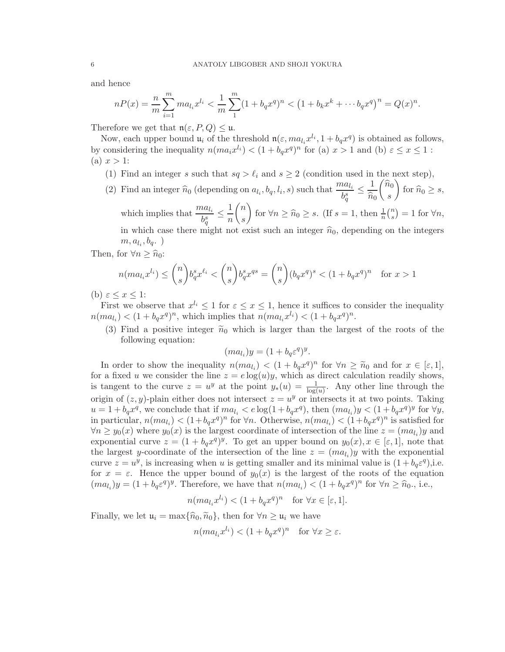and hence

$$
nP(x) = \frac{n}{m} \sum_{i=1}^{m} m a_{l_i} x^{l_i} < \frac{1}{m} \sum_{1}^{m} (1 + b_q x^q)^n < (1 + b_k x^k + \dots + b_q x^q)^n = Q(x)^n.
$$

Therefore we get that  $\mathfrak{n}(\varepsilon, P, Q) \leq \mathfrak{u}$ .

Now, each upper bound  $\mathfrak{u}_i$  of the threshold  $\mathfrak{n}(\varepsilon, ma_{l_i}x^{l_i}, 1+b_qx^q)$  is obtained as follows, by considering the inequality  $n(ma_ix^{l_i}) < (1 + b_qx^q)^n$  for (a)  $x > 1$  and (b)  $\varepsilon \le x \le 1$ :  $(a)$   $x > 1$ :

- (1) Find an integer s such that  $sq > \ell_i$  and  $s \geq 2$  (condition used in the next step),
- (2) Find an integer  $\hat{n}_0$  (depending on  $a_{l_i}, b_q, l_i, s$ ) such that  $\frac{ma_{l_i}}{b_q^s}$  $\leq \frac{1}{\sim}$  $\widehat{n}_0$  $\left( \widehat{n}_{0}\right)$ s  $\setminus$ for  $\widehat{n}_0 \geq s$ , which implies that  $\frac{ma_{l_i}}{b_q^s}$  $\leq$   $\frac{1}{\cdot}$ n  $\sqrt{n}$ s for  $\forall n \geq \widehat{n}_0 \geq s$ . (If  $s = 1$ , then  $\frac{1}{n} {n \choose s}$  $s^{n}_{s}$ ) = 1 for  $\forall n$ ,

in which case there might not exist such an integer  $\hat{n}_0$ , depending on the integers  $m, a_{l_i}, b_q.$ )

Then, for  $\forall n \geq \widehat{n}_0$ :

$$
n(ma_{l_i}x^{l_i}) \le \binom{n}{s} b_q^s x^{\ell_i} < \binom{n}{s} b_q^s x^{qs} = \binom{n}{s} (b_q x^q)^s < (1 + b_q x^q)^n \quad \text{for } x > 1
$$

(b)  $\varepsilon \leq x \leq 1$ :

First we observe that  $x^{l_i} \leq 1$  for  $\varepsilon \leq x \leq 1$ , hence it suffices to consider the inequality  $n(ma_{l_i}) < (1 + b_q x^q)^n$ , which implies that  $n(ma_{l_i}x^{l_i}) < (1 + b_q x^q)^n$ .

(3) Find a positive integer  $\tilde{n}_0$  which is larger than the largest of the roots of the following equation:

.

$$
(ma_{l_i})y = (1 + b_q \varepsilon^q)^y
$$

In order to show the inequality  $n(ma_i) < (1 + b_q x^q)^n$  for  $\forall n \geq \tilde{n}_0$  and for  $x \in [\varepsilon, 1],$ for a fixed u we consider the line  $z = e \log(u)y$ , which as direct calculation readily shows, is tangent to the curve  $z = u^y$  at the point  $y_*(u) = \frac{1}{\log(u)}$ . Any other line through the origin of  $(z, y)$ -plain either does not intersect  $z = u^y$  or intersects it at two points. Taking  $u = 1 + b_q x^q$ , we conclude that if  $ma_{l_i} < e \log(1 + b_q x^q)$ , then  $(ma_{l_i})y < (1 + b_q x^q)^y$  for  $\forall y$ , in particular,  $n(ma_{l_i}) < (1+b_q x^q)^n$  for  $\forall n$ . Otherwise,  $n(ma_{l_i}) < (1+b_q x^q)^n$  is satisfied for  $\forall n \geq y_0(x)$  where  $y_0(x)$  is the largest coordinate of intersection of the line  $z = (ma_{l_i})y$  and exponential curve  $z = (1 + b_q x^q)^y$ . To get an upper bound on  $y_0(x), x \in [\varepsilon, 1]$ , note that the largest y-coordinate of the intersection of the line  $z = (ma_{l_i})y$  with the exponential curve  $z = u^y$ , is increasing when u is getting smaller and its minimal value is  $(1 + b_q \varepsilon^q)$ , i.e. for  $x = \varepsilon$ . Hence the upper bound of  $y_0(x)$  is the largest of the roots of the equation  $(ma_{l_i})y = (1 + b_q \varepsilon^q)^y$ . Therefore, we have that  $n(ma_{l_i}) < (1 + b_q x^q)^n$  for  $\forall n \geq \hat{n}_0$ ., i.e.,

$$
n(ma_{l_i}x^{l_i}) < (1 + b_q x^q)^n \text{ for } \forall x \in [\varepsilon, 1].
$$

Finally, we let  $\mathfrak{u}_i = \max{\lbrace \hat{n}_0, \tilde{n}_0 \rbrace}$ , then for  $\forall n \geq \mathfrak{u}_i$  we have

$$
n(ma_{l_i}x^{l_i}) < (1 + b_q x^q)^n \quad \text{for } \forall x \ge \varepsilon.
$$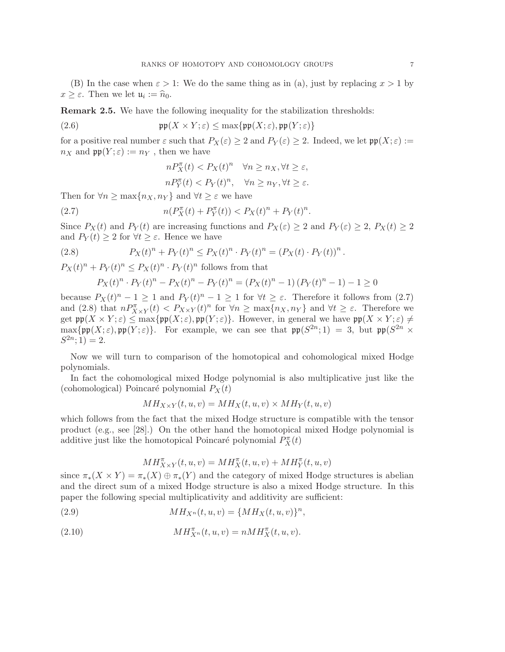(B) In the case when  $\varepsilon > 1$ : We do the same thing as in (a), just by replacing  $x > 1$  by  $x \geq \varepsilon$ . Then we let  $\mathfrak{u}_i := \widehat{n}_0$ .

Remark 2.5. We have the following inequality for the stabilization thresholds:

(2.6) 
$$
\mathfrak{pp}(X \times Y; \varepsilon) \leq \max\{\mathfrak{pp}(X; \varepsilon), \mathfrak{pp}(Y; \varepsilon)\}\
$$

for a positive real number  $\varepsilon$  such that  $P_X(\varepsilon) \geq 2$  and  $P_Y(\varepsilon) \geq 2$ . Indeed, we let  $\mathfrak{pp}(X;\varepsilon) :=$  $n_X$  and  $\mathfrak{pp}(Y;\varepsilon) := n_Y$ , then we have

$$
nP_X^{\pi}(t) < P_X(t)^n \quad \forall n \ge n_X, \forall t \ge \varepsilon,
$$
\n
$$
nP_Y^{\pi}(t) < P_Y(t)^n, \quad \forall n \ge n_Y, \forall t \ge \varepsilon.
$$

Then for  $\forall n \geq \max\{n_X, n_Y\}$  and  $\forall t \geq \varepsilon$  we have

(2.7) 
$$
n(P_X^{\pi}(t) + P_Y^{\pi}(t)) < P_X(t)^n + P_Y(t)^n.
$$

Since  $P_X(t)$  and  $P_Y(t)$  are increasing functions and  $P_X(\varepsilon) \geq 2$  and  $P_Y(\varepsilon) \geq 2$ ,  $P_X(t) \geq 2$ and  $P_Y(t) \geq 2$  for  $\forall t \geq \varepsilon$ . Hence we have

(2.8) 
$$
P_X(t)^n + P_Y(t)^n \le P_X(t)^n \cdot P_Y(t)^n = (P_X(t) \cdot P_Y(t))^n.
$$

 $P_X(t)^n + P_Y(t)^n \leq P_X(t)^n \cdot P_Y(t)^n$  follows from that

$$
P_X(t)^n \cdot P_Y(t)^n - P_X(t)^n - P_Y(t)^n = (P_X(t)^n - 1) (P_Y(t)^n - 1) - 1 \ge 0
$$

because  $P_X(t)^n - 1 \ge 1$  and  $P_Y(t)^n - 1 \ge 1$  for  $\forall t \ge \varepsilon$ . Therefore it follows from (2.7) and (2.8) that  $nP_{X\times Y}^{\pi}(t) < P_{X\times Y}(t)^n$  for  $\forall n \ge \max\{n_X, n_Y\}$  and  $\forall t \ge \varepsilon$ . Therefore we get  $\mathfrak{pp}(X \times Y; \varepsilon) \leq \max{\{\mathfrak{pp}(X;\varepsilon),\mathfrak{pp}(Y;\varepsilon)\}}$ . However, in general we have  $\mathfrak{pp}(X \times Y; \varepsilon) \neq 0$  $\max\{\mathfrak{pp}(X;\varepsilon),\mathfrak{pp}(Y;\varepsilon)\}\.$  For example, we can see that  $\mathfrak{pp}(S^{2n};1) = 3$ , but  $\mathfrak{pp}(S^{2n} \times$  $S^{2n}$ ; 1) = 2.

Now we will turn to comparison of the homotopical and cohomological mixed Hodge polynomials.

In fact the cohomological mixed Hodge polynomial is also multiplicative just like the (cohomological) Poincaré polynomial  $P_X(t)$ 

$$
MH_{X\times Y}(t, u, v) = MH_X(t, u, v) \times MH_Y(t, u, v)
$$

which follows from the fact that the mixed Hodge structure is compatible with the tensor product (e.g., see [28].) On the other hand the homotopical mixed Hodge polynomial is additive just like the homotopical Poincaré polynomial  $P_X^{\pi}(t)$ 

$$
MH^{\pi}_{X\times Y}(t,u,v)=MH^{\pi}_X(t,u,v)+MH^{\pi}_Y(t,u,v)
$$

since  $\pi_*(X \times Y) = \pi_*(X) \oplus \pi_*(Y)$  and the category of mixed Hodge structures is abelian and the direct sum of a mixed Hodge structure is also a mixed Hodge structure. In this paper the following special multiplicativity and additivity are sufficient:

(2.9) 
$$
MH_{X^n}(t, u, v) = \{MH_X(t, u, v)\}^n,
$$

(2.10) 
$$
MH_{X^n}^{\pi}(t, u, v) = nMH_X^{\pi}(t, u, v).
$$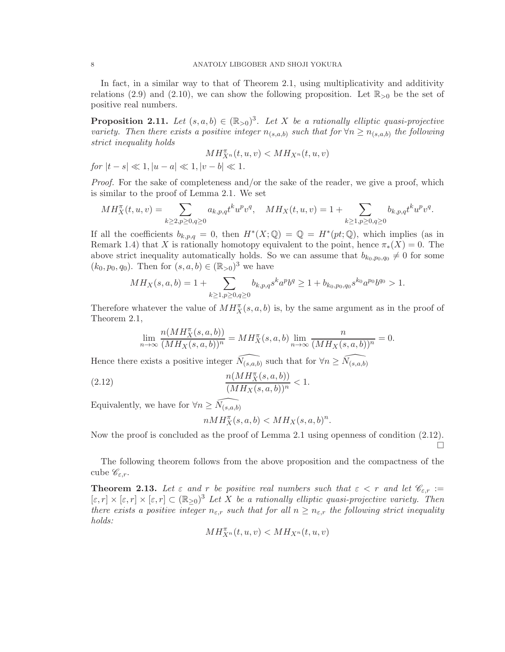In fact, in a similar way to that of Theorem 2.1, using multiplicativity and additivity relations (2.9) and (2.10), we can show the following proposition. Let  $\mathbb{R}_{>0}$  be the set of positive real numbers.

**Proposition 2.11.** Let  $(s, a, b) \in (\mathbb{R}_{>0})^3$ . Let X be a rationally elliptic quasi-projective *variety. Then there exists a positive integer*  $n_{(s,a,b)}$  *such that for*  $\forall n \geq n_{(s,a,b)}$  *the following strict inequality holds*

$$
MH_{X^n}^{\pi}(t, u, v) < MH_{X^n}(t, u, v)
$$
  
for  $|t - s| \ll 1, |u - a| \ll 1, |v - b| \ll 1$ .

*Proof.* For the sake of completeness and/or the sake of the reader, we give a proof, which is similar to the proof of Lemma 2.1. We set

$$
MH_X^{\pi}(t,u,v) = \sum_{k \ge 2, p \ge 0, q \ge 0} a_{k,p,q} t^k u^p v^q, \quad MH_X(t,u,v) = 1 + \sum_{k \ge 1, p \ge 0, q \ge 0} b_{k,p,q} t^k u^p v^q.
$$

If all the coefficients  $b_{k,p,q} = 0$ , then  $H^*(X; \mathbb{Q}) = \mathbb{Q} = H^*(pt; \mathbb{Q})$ , which implies (as in Remark 1.4) that X is rationally homotopy equivalent to the point, hence  $\pi_*(X) = 0$ . The above strict inequality automatically holds. So we can assume that  $b_{k_0,p_0,q_0} \neq 0$  for some  $(k_0, p_0, q_0)$ . Then for  $(s, a, b) \in (\mathbb{R}_{>0})^3$  we have

$$
MH_X(s, a, b) = 1 + \sum_{k \ge 1, p \ge 0, q \ge 0} b_{k, p, q} s^k a^p b^q \ge 1 + b_{k_0, p_0, q_0} s^{k_0} a^{p_0} b^{q_0} > 1.
$$

Therefore whatever the value of  $MH_X^{\pi}(s, a, b)$  is, by the same argument as in the proof of Theorem 2.1,

$$
\lim_{n \to \infty} \frac{n(MH_X^{\pi}(s, a, b))}{(MH_X(s, a, b))^n} = MH_X^{\pi}(s, a, b) \lim_{n \to \infty} \frac{n}{(MH_X(s, a, b))^n} = 0.
$$

Hence there exists a positive integer  $\widehat{N_{(s,a,b)}}$  such that for  $\forall n \geq \widehat{N_{(s,a,b)}}$ 

(2.12) 
$$
\frac{n(MH_X^{\pi}(s, a, b))}{(MH_X(s, a, b))^n} < 1.
$$

Equivalently, we have for  $\forall n\geq \widehat{N_{(s,a,b)}}$ 

$$
nMH_X^{\pi}(s,a,b) < MH_X(s,a,b)^n.
$$

Now the proof is concluded as the proof of Lemma 2.1 using openness of condition (2.12). П

The following theorem follows from the above proposition and the compactness of the cube  $\mathscr{C}_{\varepsilon,r}$ .

**Theorem 2.13.** Let  $\varepsilon$  and  $r$  be positive real numbers such that  $\varepsilon < r$  and let  $\mathscr{C}_{\varepsilon,r} :=$  $[\varepsilon, r] \times [\varepsilon, r] \times [\varepsilon, r] \subset (\mathbb{R}_{\geq 0})^3$  Let X be a rationally elliptic quasi-projective variety. Then *there exists a positive integer*  $n_{\varepsilon,r}$  *such that for all*  $n \geq n_{\varepsilon,r}$  *the following strict inequality holds:*

$$
MH_{X^n}^{\pi}(t,u,v) < MH_{X^n}(t,u,v)
$$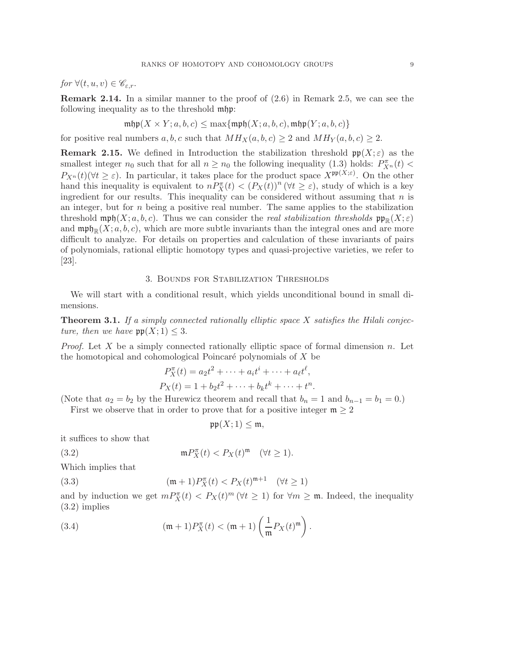*for*  $\forall (t, u, v) \in \mathscr{C}_{\varepsilon,r}$ .

**Remark 2.14.** In a similar manner to the proof of  $(2.6)$  in Remark 2.5, we can see the following inequality as to the threshold mhp:

$$
\mathrm{mhp}(X \times Y; a, b, c) \le \max\{\mathrm{mph}(X; a, b, c), \mathrm{mhp}(Y; a, b, c)\}
$$

for positive real numbers  $a, b, c$  such that  $MH_X(a, b, c) \ge 2$  and  $MH_Y(a, b, c) \ge 2$ .

**Remark 2.15.** We defined in Introduction the stabilization threshold  $\mathfrak{pp}(X; \varepsilon)$  as the smallest integer  $n_0$  such that for all  $n \ge n_0$  the following inequality (1.3) holds:  $P_{X^n}^{\pi}(t)$  <  $P_{X^n}(t)$ ( $\forall t \geq \varepsilon$ ). In particular, it takes place for the product space  $X^{\mathfrak{pp}(X;\varepsilon)}$ . On the other hand this inequality is equivalent to  $n P_X^{\pi}(t) < (P_X(t))^n (\forall t \geq \varepsilon)$ , study of which is a key ingredient for our results. This inequality can be considered without assuming that  $n$  is an integer, but for  $n$  being a positive real number. The same applies to the stabilization threshold  $\operatorname{mph}(X; a, b, c)$ . Thus we can consider the *real stabilization thresholds*  $\operatorname{pp}_p(X; \varepsilon)$ and  $\operatorname{mpj}_\mathbb{R}(X; a, b, c)$ , which are more subtle invariants than the integral ones and are more difficult to analyze. For details on properties and calculation of these invariants of pairs of polynomials, rational elliptic homotopy types and quasi-projective varieties, we refer to [23].

## 3. Bounds for Stabilization Thresholds

We will start with a conditional result, which yields unconditional bound in small dimensions.

Theorem 3.1. *If a simply connected rationally elliptic space* X *satisfies the Hilali conjecture, then we have*  $pp(X; 1) \leq 3$ .

*Proof.* Let X be a simply connected rationally elliptic space of formal dimension n. Let the homotopical and cohomological Poincaré polynomials of  $X$  be

$$
P_X^{\pi}(t) = a_2 t^2 + \dots + a_i t^i + \dots + a_\ell t^\ell,
$$
  
\n
$$
P_X(t) = 1 + b_2 t^2 + \dots + b_k t^k + \dots + t^n.
$$

(Note that  $a_2 = b_2$  by the Hurewicz theorem and recall that  $b_n = 1$  and  $b_{n-1} = b_1 = 0$ .)

First we observe that in order to prove that for a positive integer  $m \geq 2$ 

$$
\mathfrak{pp}(X;1)\leq \mathfrak{m},
$$

it suffices to show that

 $(3.2)$  $P_X^{\pi}(t) < P_X(t)^{\mathfrak{m}} \quad (\forall t \geq 1).$ 

Which implies that

(3.3) 
$$
(\mathfrak{m} + 1)P_X^{\pi}(t) < P_X(t)^{\mathfrak{m}+1} \quad (\forall t \ge 1)
$$

and by induction we get  $m P_X^{\pi}(t) < P_X(t)^m$  ( $\forall t \geq 1$ ) for  $\forall m \geq \mathfrak{m}$ . Indeed, the inequality (3.2) implies

(3.4) 
$$
(\mathfrak{m} + 1)P_X^{\pi}(t) < (\mathfrak{m} + 1) \left(\frac{1}{\mathfrak{m}} P_X(t)^{\mathfrak{m}}\right).
$$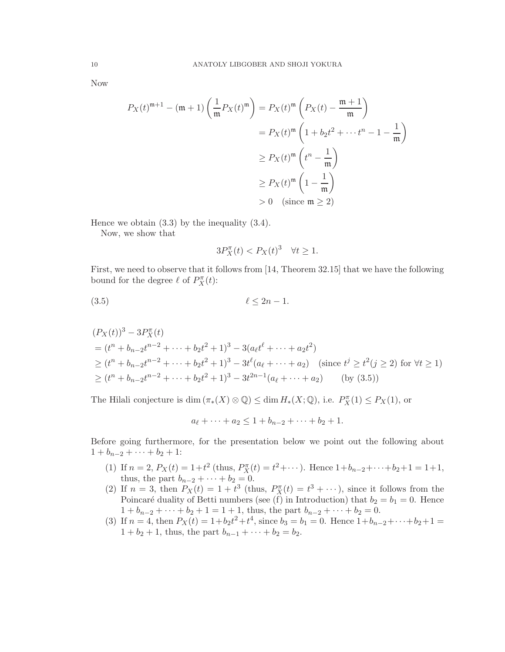Now

$$
P_X(t)^{\mathfrak{m}+1} - (\mathfrak{m} + 1) \left( \frac{1}{\mathfrak{m}} P_X(t)^{\mathfrak{m}} \right) = P_X(t)^{\mathfrak{m}} \left( P_X(t) - \frac{\mathfrak{m} + 1}{\mathfrak{m}} \right)
$$
  

$$
= P_X(t)^{\mathfrak{m}} \left( 1 + b_2 t^2 + \dots + t^n - 1 - \frac{1}{\mathfrak{m}} \right)
$$
  

$$
\geq P_X(t)^{\mathfrak{m}} \left( t^n - \frac{1}{\mathfrak{m}} \right)
$$
  

$$
\geq P_X(t)^{\mathfrak{m}} \left( 1 - \frac{1}{\mathfrak{m}} \right)
$$
  

$$
> 0 \quad \text{(since } \mathfrak{m} \geq 2)
$$

Hence we obtain (3.3) by the inequality (3.4).

Now, we show that

$$
3P_X^{\pi}(t) < P_X(t)^3 \quad \forall t \ge 1.
$$

First, we need to observe that it follows from [14, Theorem 32.15] that we have the following bound for the degree  $\ell$  of  $P_X^{\pi}(t)$ :

(3.5) ℓ ≤ 2n − 1.

$$
(P_X(t))^3 - 3P_X^{\pi}(t)
$$
  
=  $(t^n + b_{n-2}t^{n-2} + \dots + b_2t^2 + 1)^3 - 3(a_{\ell}t^{\ell} + \dots + a_2t^2)$   
 $\ge (t^n + b_{n-2}t^{n-2} + \dots + b_2t^2 + 1)^3 - 3t^{\ell}(a_{\ell} + \dots + a_2)$  (since  $t^j \ge t^2(j \ge 2)$  for  $\forall t \ge 1$ )  
 $\ge (t^n + b_{n-2}t^{n-2} + \dots + b_2t^2 + 1)^3 - 3t^{2n-1}(a_{\ell} + \dots + a_2)$  (by (3.5))

The Hilali conjecture is  $\dim (\pi_*(X) \otimes \mathbb{Q}) \leq \dim H_*(X; \mathbb{Q})$ , i.e.  $P_X^{\pi}(1) \leq P_X(1)$ , or

$$
a_{\ell} + \cdots + a_2 \leq 1 + b_{n-2} + \cdots + b_2 + 1.
$$

Before going furthermore, for the presentation below we point out the following about  $1 + b_{n-2} + \cdots + b_2 + 1$ :

- (1) If  $n = 2$ ,  $P_X(t) = 1 + t^2$  (thus,  $P_X^{\pi}(t) = t^2 + \cdots$ ). Hence  $1 + b_{n-2} + \cdots + b_2 + 1 = 1 + 1$ , thus, the part  $b_{n-2} + \cdots + b_2 = 0$ .
- (2) If  $n = 3$ , then  $P_X(t) = 1 + t^3$  (thus,  $P_X^{\pi}(t) = t^3 + \cdots$ ), since it follows from the Poincaré duality of Betti numbers (see (f) in Introduction) that  $b_2 = b_1 = 0$ . Hence  $1 + b_{n-2} + \cdots + b_2 + 1 = 1 + 1$ , thus, the part  $b_{n-2} + \cdots + b_2 = 0$ .
- (3) If  $n = 4$ , then  $P_X(t) = 1 + b_2 t^2 + t^4$ , since  $b_3 = b_1 = 0$ . Hence  $1 + b_{n-2} + \cdots + b_2 + 1 =$  $1 + b_2 + 1$ , thus, the part  $b_{n-1} + \cdots + b_2 = b_2$ .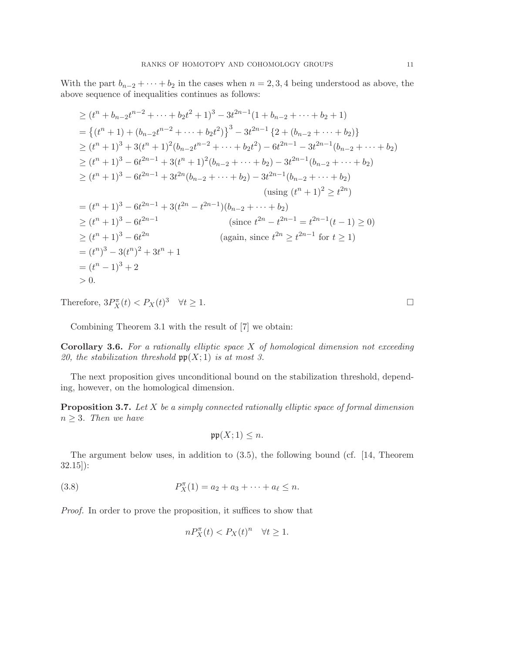With the part  $b_{n-2} + \cdots + b_2$  in the cases when  $n = 2, 3, 4$  being understood as above, the above sequence of inequalities continues as follows:

$$
\geq (t^{n} + b_{n-2}t^{n-2} + \cdots + b_{2}t^{2} + 1)^{3} - 3t^{2n-1}(1 + b_{n-2} + \cdots + b_{2} + 1)
$$
\n
$$
= \{(t^{n} + 1) + (b_{n-2}t^{n-2} + \cdots + b_{2}t^{2})\}^{3} - 3t^{2n-1} \{2 + (b_{n-2} + \cdots + b_{2})\}
$$
\n
$$
\geq (t^{n} + 1)^{3} + 3(t^{n} + 1)^{2}(b_{n-2}t^{n-2} + \cdots + b_{2}t^{2}) - 6t^{2n-1} - 3t^{2n-1}(b_{n-2} + \cdots + b_{2})
$$
\n
$$
\geq (t^{n} + 1)^{3} - 6t^{2n-1} + 3(t^{n} + 1)^{2}(b_{n-2} + \cdots + b_{2}) - 3t^{2n-1}(b_{n-2} + \cdots + b_{2})
$$
\n
$$
\geq (t^{n} + 1)^{3} - 6t^{2n-1} + 3t^{2n}(b_{n-2} + \cdots + b_{2}) - 3t^{2n-1}(b_{n-2} + \cdots + b_{2})
$$
\n
$$
\text{using } (t^{n} + 1)^{2} \geq t^{2n})
$$
\n
$$
= (t^{n} + 1)^{3} - 6t^{2n-1} + 3(t^{2n} - t^{2n-1})(b_{n-2} + \cdots + b_{2})
$$
\n
$$
\geq (t^{n} + 1)^{3} - 6t^{2n-1}
$$
\n
$$
\text{since } t^{2n} - t^{2n-1} = t^{2n-1}(t - 1) \geq 0
$$
\n
$$
\geq (t^{n} + 1)^{3} - 6t^{2n}
$$
\n
$$
= (t^{n})^{3} - 3(t^{n})^{2} + 3t^{n} + 1
$$
\n
$$
= (t^{n})^{3} - 3(t^{n})^{2} + 3t^{n} + 1
$$
\n
$$
= (t^{n} - 1)^{3} + 2
$$
\n
$$
> 0.
$$

Therefore,  $3P_X^{\pi}(t) < P_X(t)^3 \quad \forall t \ge 1.$ 

Combining Theorem 3.1 with the result of [7] we obtain:

Corollary 3.6. *For a rationally elliptic space* X *of homological dimension not exceeding 20, the stabilization threshold* pp(X; 1) *is at most 3.*

The next proposition gives unconditional bound on the stabilization threshold, depending, however, on the homological dimension.

Proposition 3.7. *Let* X *be a simply connected rationally elliptic space of formal dimension*  $n \geq 3$ *. Then we have* 

$$
\mathfrak{pp}(X;1)\leq n.
$$

The argument below uses, in addition to (3.5), the following bound (cf. [14, Theorem 32.15]):

(3.8) 
$$
P_X^{\pi}(1) = a_2 + a_3 + \cdots + a_{\ell} \leq n.
$$

*Proof.* In order to prove the proposition, it suffices to show that

$$
nP_X^{\pi}(t) < P_X(t)^n \quad \forall t \ge 1.
$$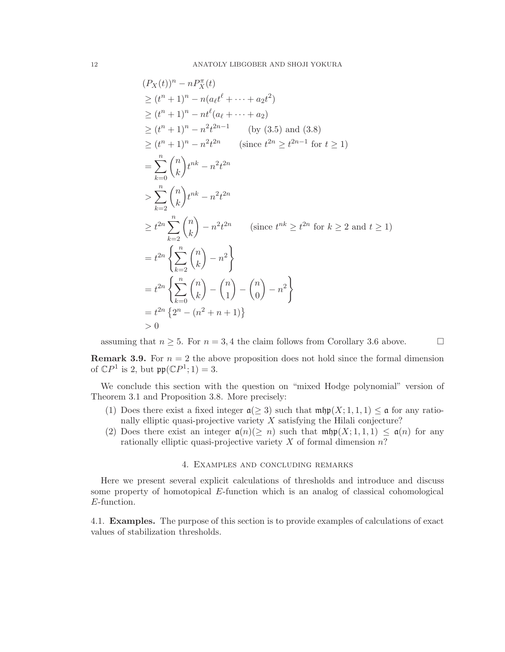$$
(P_X(t))^n - nP_X^{\pi}(t)
$$
  
\n
$$
\ge (t^n + 1)^n - n(a_t t^{\ell} + \dots + a_2 t^2)
$$
  
\n
$$
\ge (t^n + 1)^n - n^{\ell}(a_{\ell} + \dots + a_2)
$$
  
\n
$$
\ge (t^n + 1)^n - n^2 t^{2n-1}
$$
 (by (3.5) and (3.8)  
\n
$$
\ge (t^n + 1)^n - n^2 t^{2n}
$$
 (since  $t^{2n} \ge t^{2n-1}$  for  $t \ge 1$ )  
\n
$$
= \sum_{k=0}^n {n \choose k} t^{nk} - n^2 t^{2n}
$$
  
\n
$$
\ge t^{2n} \sum_{k=2}^n {n \choose k} - n^2 t^{2n}
$$
 (since  $t^{nk} \ge t^{2n}$  for  $k \ge 2$  and  $t \ge 1$ )  
\n
$$
= t^{2n} \left\{ \sum_{k=2}^n {n \choose k} - n^2 \right\}
$$
  
\n
$$
= t^{2n} \left\{ \sum_{k=0}^n {n \choose k} - {n \choose 1} - {n \choose 0} - n^2 \right\}
$$
  
\n
$$
= t^{2n} \left\{ 2^n - (n^2 + n + 1) \right\}
$$
  
\n
$$
> 0
$$

assuming that  $n \geq 5$ . For  $n = 3, 4$  the claim follows from Corollary 3.6 above.

**Remark 3.9.** For  $n = 2$  the above proposition does not hold since the formal dimension of  $\mathbb{C}P^1$  is 2, but  $\mathfrak{pp}(\mathbb{C}P^1;1)=3$ .

We conclude this section with the question on "mixed Hodge polynomial" version of Theorem 3.1 and Proposition 3.8. More precisely:

- (1) Does there exist a fixed integer  $\mathfrak{a}(\geq 3)$  such that  $\mathfrak{mfp}(X; 1, 1, 1) \leq \mathfrak{a}$  for any rationally elliptic quasi-projective variety  $X$  satisfying the Hilali conjecture?
- (2) Does there exist an integer  $\mathfrak{a}(n) \geq n$  such that  $\mathfrak{m} \mathfrak{hp}(X; 1, 1, 1) \leq \mathfrak{a}(n)$  for any rationally elliptic quasi-projective variety  $X$  of formal dimension  $n$ ?

## 4. Examples and concluding remarks

Here we present several explicit calculations of thresholds and introduce and discuss some property of homotopical E-function which is an analog of classical cohomological E-function.

4.1. Examples. The purpose of this section is to provide examples of calculations of exact values of stabilization thresholds.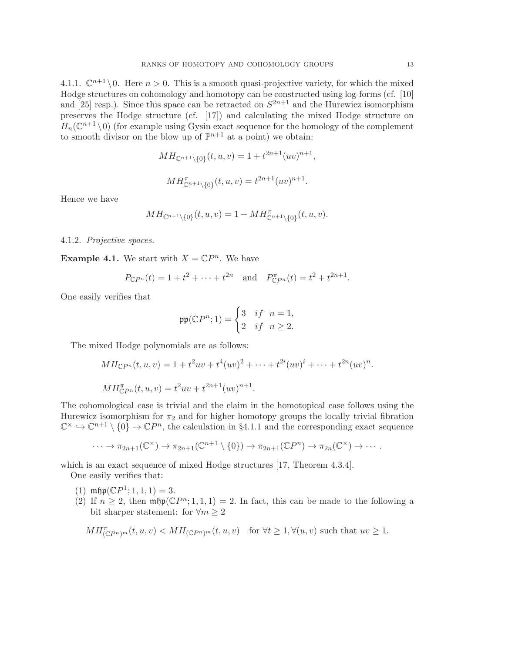4.1.1.  $\mathbb{C}^{n+1} \setminus 0$ . Here  $n > 0$ . This is a smooth quasi-projective variety, for which the mixed Hodge structures on cohomology and homotopy can be constructed using log-forms (cf. [10] and [25] resp.). Since this space can be retracted on  $S^{2n+1}$  and the Hurewicz isomorphism preserves the Hodge structure (cf. [17]) and calculating the mixed Hodge structure on  $H_n(\mathbb{C}^{n+1} \setminus 0)$  (for example using Gysin exact sequence for the homology of the complement to smooth divisor on the blow up of  $\mathbb{P}^{n+1}$  at a point) we obtain:

$$
MH_{\mathbb{C}^{n+1}\setminus\{0\}}(t,u,v) = 1 + t^{2n+1}(uv)^{n+1},
$$
  

$$
MH_{\mathbb{C}^{n+1}\setminus\{0\}}^{n}(t,u,v) = t^{2n+1}(uv)^{n+1}.
$$

Hence we have

$$
MH_{\mathbb{C}^{n+1}\setminus\{0\}}(t,u,v) = 1 + MH^{\pi}_{\mathbb{C}^{n+1}\setminus\{0\}}(t,u,v).
$$

## 4.1.2. *Projective spaces.*

**Example 4.1.** We start with  $X = \mathbb{C}P^n$ . We have

$$
P_{\mathbb{C}P^n}(t) = 1 + t^2 + \dots + t^{2n}
$$
 and  $P_{\mathbb{C}P^n}^{\pi}(t) = t^2 + t^{2n+1}$ .

One easily verifies that

$$
\mathfrak{pp}(\mathbb{C}P^n; 1) = \begin{cases} 3 & \text{if } n = 1, \\ 2 & \text{if } n \ge 2. \end{cases}
$$

The mixed Hodge polynomials are as follows:

$$
MH_{\mathbb{C}P^n}(t, u, v) = 1 + t^2uv + t^4(uv)^2 + \dots + t^{2i}(uv)^i + \dots + t^{2n}(uv)^n.
$$
  

$$
MH_{\mathbb{C}P^n}(t, u, v) = t^2uv + t^{2n+1}(uv)^{n+1}.
$$

The cohomological case is trivial and the claim in the homotopical case follows using the Hurewicz isomorphism for  $\pi_2$  and for higher homotopy groups the locally trivial fibration  $\mathbb{C}^{\times} \hookrightarrow \mathbb{C}^{n+1} \setminus \{0\} \to \mathbb{C}P^n$ , the calculation in §4.1.1 and the corresponding exact sequence

$$
\cdots \to \pi_{2n+1}(\mathbb{C}^{\times}) \to \pi_{2n+1}(\mathbb{C}^{n+1} \setminus \{0\}) \to \pi_{2n+1}(\mathbb{C}P^{n}) \to \pi_{2n}(\mathbb{C}^{\times}) \to \cdots
$$

which is an exact sequence of mixed Hodge structures [17, Theorem 4.3.4].

One easily verifies that:

- (1)  $\mathrm{mbp}(\mathbb{C}P^1; 1, 1, 1) = 3.$
- (2) If  $n \geq 2$ , then  $\operatorname{mhyp}(\mathbb{C}P^n; 1, 1, 1) = 2$ . In fact, this can be made to the following a bit sharper statement: for  $\forall m \geq 2$

$$
MH_{(\mathbb{C}P^n)^m}^{\pi}(t,u,v) < MH_{(\mathbb{C}P^n)^m}(t,u,v) \text{ for } \forall t \ge 1, \forall (u,v) \text{ such that } uv \ge 1.
$$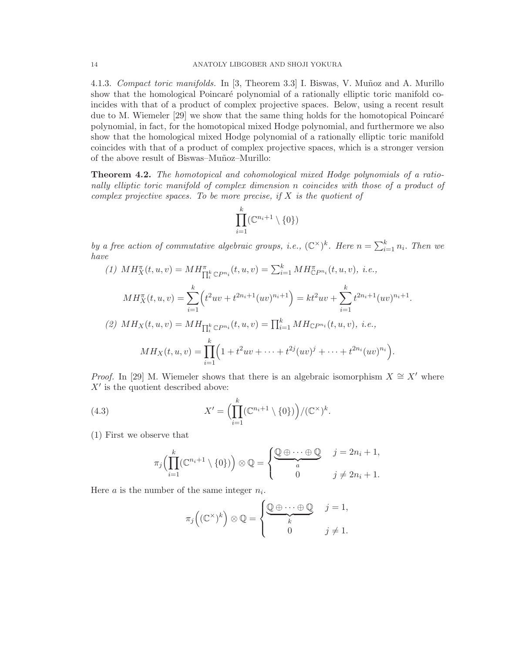4.1.3. *Compact toric manifolds.* In [3, Theorem 3.3] I. Biswas, V. Munoz and A. Murillo show that the homological Poincaré polynomial of a rationally elliptic toric manifold coincides with that of a product of complex projective spaces. Below, using a recent result due to M. Wiemeler  $[29]$  we show that the same thing holds for the homotopical Poincaré polynomial, in fact, for the homotopical mixed Hodge polynomial, and furthermore we also show that the homological mixed Hodge polynomial of a rationally elliptic toric manifold coincides with that of a product of complex projective spaces, which is a stronger version of the above result of Biswas–Mu˜noz–Murillo:

Theorem 4.2. *The homotopical and cohomological mixed Hodge polynomials of a rationally elliptic toric manifold of complex dimension* n *coincides with those of a product of complex projective spaces. To be more precise, if* X *is the quotient of*

$$
\prod_{i=1}^k (\mathbb{C}^{n_i+1} \setminus \{0\})
$$

*by a free action of commutative algebraic groups, i.e.,*  $(\mathbb{C}^{\times})^k$ *. Here*  $n = \sum_{i=1}^k n_i$ *. Then we have*

.

(1) 
$$
MH_X^{\pi}(t, u, v) = MH_{\prod_i^k \mathbb{C}P^{n_i}}^{\pi}(t, u, v) = \sum_{i=1}^k MH_{\mathbb{C}P^{n_i}}^{\pi}(t, u, v), \ i.e.,
$$

$$
MH_X^{\pi}(t, u, v) = \sum_{i=1}^k \left( t^2 u v + t^{2n_i+1} (uv)^{n_i+1} \right) = kt^2 u v + \sum_{i=1}^k t^{2n_i+1} (uv)^{n_i+1}
$$

$$
(2) MH_X(t, u, v) = MH_{\prod_i^k \mathbb{C}P^{n_i}}(t, u, v) = \prod_{i=1}^k MH_{\mathbb{C}P^{n_i}}(t, u, v), \ i.e.,
$$

$$
MH_X(t, u, v) = \prod_{i=1}^k \left( 1 + t^2 u v + \dots + t^{2j} (uv)^j + \dots + t^{2n_i} (uv)^{n_i} \right).
$$

*Proof.* In [29] M. Wiemeler shows that there is an algebraic isomorphism  $X \cong X'$  where  $X'$  is the quotient described above:

(4.3) 
$$
X' = \left(\prod_{i=1}^k (\mathbb{C}^{n_i+1} \setminus \{0\})\right) / (\mathbb{C}^\times)^k.
$$

(1) First we observe that

$$
\pi_j\Big(\prod_{i=1}^k(\mathbb{C}^{n_i+1}\setminus\{0\})\Big)\otimes\mathbb{Q}=\begin{cases}\underbrace{\mathbb{Q}\oplus\cdots\oplus\mathbb{Q}}_a & j=2n_i+1, \\ 0 & j\neq 2n_i+1.\end{cases}
$$

Here  $a$  is the number of the same integer  $n_i$ .

$$
\pi_j\left((\mathbb{C}^{\times})^k\right)\otimes \mathbb{Q}=\begin{cases}\underbrace{\mathbb{Q}\oplus\cdots\oplus\mathbb{Q}}_{k} & j=1,\\ 0 & j\neq 1.\end{cases}
$$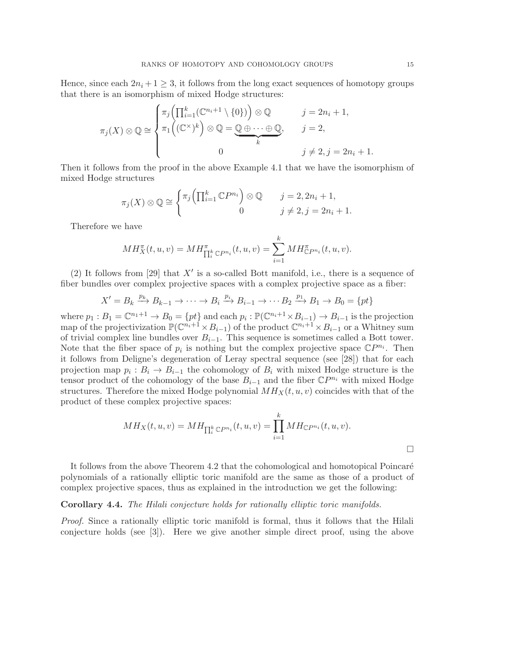Hence, since each  $2n_i + 1 \geq 3$ , it follows from the long exact sequences of homotopy groups that there is an isomorphism of mixed Hodge structures:

$$
\pi_j(X) \otimes \mathbb{Q} \cong \begin{cases} \pi_j\left(\prod_{i=1}^k (\mathbb{C}^{n_i+1} \setminus \{0\}) \right) \otimes \mathbb{Q} & j = 2n_i + 1, \\ \pi_1\left((\mathbb{C}^{\times})^k\right) \otimes \mathbb{Q} = \mathbb{Q} \oplus \cdots \oplus \mathbb{Q}, & j = 2, \\ 0 & j \neq 2, j = 2n_i + 1. \end{cases}
$$

Then it follows from the proof in the above Example 4.1 that we have the isomorphism of mixed Hodge structures

$$
\pi_j(X) \otimes \mathbb{Q} \cong \begin{cases} \pi_j\left(\prod_{i=1}^k \mathbb{C}P^{n_i}\right) \otimes \mathbb{Q} & j = 2, 2n_i + 1, \\ 0 & j \neq 2, j = 2n_i + 1. \end{cases}
$$

Therefore we have

$$
MH_X^{\pi}(t, u, v) = MH_{\prod_i^k \mathbb{C}P^{n_i}}^{\pi}(t, u, v) = \sum_{i=1}^k MH_{\mathbb{C}P^{n_i}}^{\pi}(t, u, v).
$$

(2) It follows from [29] that  $X'$  is a so-called Bott manifold, i.e., there is a sequence of fiber bundles over complex projective spaces with a complex projective space as a fiber:

$$
X' = B_k \xrightarrow{p_k} B_{k-1} \to \cdots \to B_i \xrightarrow{p_i} B_{i-1} \to \cdots B_2 \xrightarrow{p_1} B_1 \to B_0 = \{pt\}
$$

where  $p_1: B_1 = \mathbb{C}^{n_1+1} \to B_0 = \{pt\}$  and each  $p_i: \mathbb{P}(\mathbb{C}^{n_i+1} \times B_{i-1}) \to B_{i-1}$  is the projection map of the projectivization  $\mathbb{P}(\mathbb{C}^{n_i+1}\times B_{i-1})$  of the product  $\mathbb{C}^{n_i+1}\times B_{i-1}$  or a Whitney sum of trivial complex line bundles over  $B_{i-1}$ . This sequence is sometimes called a Bott tower. Note that the fiber space of  $p_i$  is nothing but the complex projective space  $\mathbb{C}P^{n_i}$ . Then it follows from Deligne's degeneration of Leray spectral sequence (see [28]) that for each projection map  $p_i: B_i \to B_{i-1}$  the cohomology of  $B_i$  with mixed Hodge structure is the tensor product of the cohomology of the base  $B_{i-1}$  and the fiber  $\mathbb{C}P^{n_i}$  with mixed Hodge structures. Therefore the mixed Hodge polynomial  $MH_X(t, u, v)$  coincides with that of the product of these complex projective spaces:

$$
MH_X(t, u, v) = MH_{\prod_i^k \mathbb{C}P^{n_i}}(t, u, v) = \prod_{i=1}^k MH_{\mathbb{C}P^{n_i}}(t, u, v).
$$

It follows from the above Theorem 4.2 that the cohomological and homotopical Poincaré polynomials of a rationally elliptic toric manifold are the same as those of a product of complex projective spaces, thus as explained in the introduction we get the following:

## Corollary 4.4. *The Hilali conjecture holds for rationally elliptic toric manifolds.*

*Proof.* Since a rationally elliptic toric manifold is formal, thus it follows that the Hilali conjecture holds (see [3]). Here we give another simple direct proof, using the above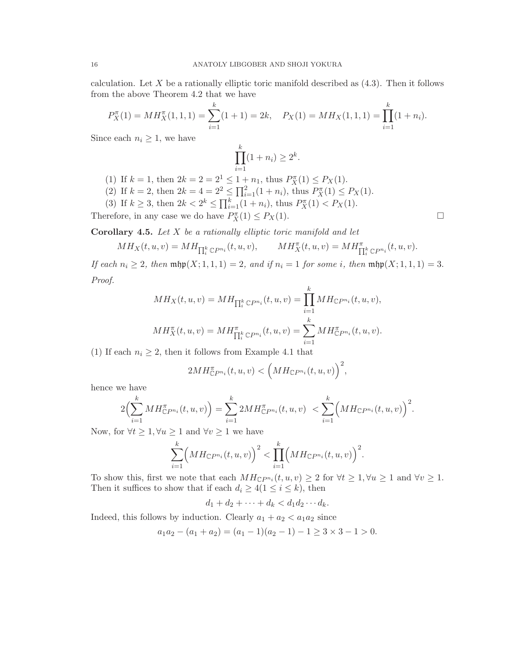calculation. Let X be a rationally elliptic toric manifold described as  $(4.3)$ . Then it follows from the above Theorem 4.2 that we have

$$
P_X^{\pi}(1) = MH_X^{\pi}(1,1,1) = \sum_{i=1}^k (1+1) = 2k, \quad P_X(1) = MH_X(1,1,1) = \prod_{i=1}^k (1+n_i).
$$

Since each  $n_i \geq 1$ , we have

$$
\prod_{i=1}^{k} (1 + n_i) \ge 2^k.
$$

- (1) If  $k = 1$ , then  $2k = 2 = 2^1 \le 1 + n_1$ , thus  $P_X^{\pi}(1) \le P_X(1)$ .
- (2) If  $k = 2$ , then  $2k = 4 = 2^2 \le \prod_{i=1}^2 (1 + n_i)$ , thus  $P_X^{\pi}(1) \le P_X(1)$ .
- (3) If  $k \geq 3$ , then  $2k < 2^k \leq \prod_{i=1}^k (1 + n_i)$ , thus  $P_X^{\pi}(1) < P_X(1)$ .

Therefore, in any case we do have  $P_X^{\pi}(1) \leq P_X(1)$ .

Corollary 4.5. *Let* X *be a rationally elliptic toric manifold and let*

$$
MH_X(t, u, v) = MH_{\prod_i^k \mathbb{C}P^{n_i}}(t, u, v), \qquad MH_X^{\pi}(t, u, v) = MH_{\prod_i^k \mathbb{C}P^{n_i}}^{\pi}(t, u, v).
$$

*If each*  $n_i \geq 2$ *, then*  $\min(x; 1, 1, 1) = 2$ *, and if*  $n_i = 1$  *for some i, then*  $\min(x; 1, 1, 1) = 3$ . *Proof.*

$$
MH_X(t, u, v) = MH_{\prod_i^k \mathbb{C}P^{n_i}}(t, u, v) = \prod_{i=1}^k MH_{\mathbb{C}P^{n_i}}(t, u, v),
$$
  

$$
MH_X^{\pi}(t, u, v) = MH_{\prod_i^k \mathbb{C}P^{n_i}}^{\pi}(t, u, v) = \sum_{i=1}^k MH_{\mathbb{C}P^{n_i}}^{\pi}(t, u, v).
$$

(1) If each  $n_i \geq 2$ , then it follows from Example 4.1 that

$$
2MH_{\mathbb{C}P^{n_i}}^{\pi}(t,u,v) < \left( MH_{\mathbb{C}P^{n_i}}(t,u,v)\right)^2,
$$

hence we have

$$
2\Big(\sum_{i=1}^k MH_{\mathbb{C}P^{n_i}}^{\pi}(t,u,v)\Big)=\sum_{i=1}^k 2MH_{\mathbb{C}P^{n_i}}^{\pi}(t,u,v) < \sum_{i=1}^k \Big(MH_{\mathbb{C}P^{n_i}}(t,u,v)\Big)^2.
$$

Now, for  $\forall t \geq 1, \forall u \geq 1$  and  $\forall v \geq 1$  we have

$$
\sum_{i=1}^k \Bigl(MH_{\mathbb{C}P^{n_i}}(t,u,v)\Bigr)^2 < \prod_{i=1}^k \Bigl(MH_{\mathbb{C}P^{n_i}}(t,u,v)\Bigr)^2.
$$

To show this, first we note that each  $MH_{\mathbb{C}P^{n_i}}(t, u, v) \geq 2$  for  $\forall t \geq 1, \forall u \geq 1$  and  $\forall v \geq 1$ . Then it suffices to show that if each  $d_i \geq 4(1 \leq i \leq k)$ , then

$$
d_1 + d_2 + \cdots + d_k < d_1 d_2 \cdots d_k.
$$

Indeed, this follows by induction. Clearly  $a_1 + a_2 < a_1 a_2$  since

$$
a_1a_2 - (a_1 + a_2) = (a_1 - 1)(a_2 - 1) - 1 \ge 3 \times 3 - 1 > 0.
$$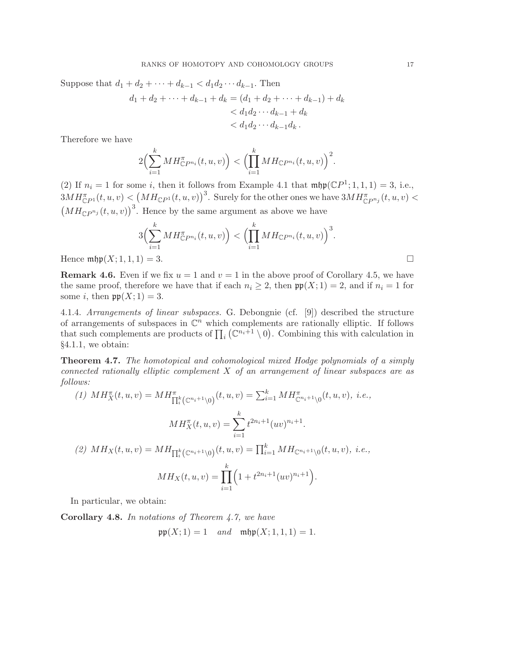Suppose that  $d_1 + d_2 + \cdots + d_{k-1} < d_1 d_2 \cdots d_{k-1}$ . Then

$$
d_1 + d_2 + \dots + d_{k-1} + d_k = (d_1 + d_2 + \dots + d_{k-1}) + d_k
$$
  
< 
$$
< d_1 d_2 \dots d_{k-1} + d_k
$$
  
< 
$$
< d_1 d_2 \dots d_{k-1} d_k.
$$

Therefore we have

$$
2\Big(\sum_{i=1}^k MH_{\mathbb{C}P^{n_i}}^{\pi}(t,u,v)\Big)<\Big(\prod_{i=1}^k MH_{\mathbb{C}P^{n_i}}(t,u,v)\Big)^2.
$$

(2) If  $n_i = 1$  for some i, then it follows from Example 4.1 that  $\operatorname{mfp}(\mathbb{C}P^1; 1, 1, 1) = 3$ , i.e.,  $3MH_{\mathbb{C}P^1}^{\pi}(t,u,v) < (MH_{\mathbb{C}P^1}(t,u,v))^3$ . Surely for the other ones we have  $3MH_{\mathbb{C}P^{n_j}}^{\pi}(t,u,v) <$  $(MH_{\mathbb{C}P^{n_j}}(t,u,v))^3$ . Hence by the same argument as above we have

$$
3\Big(\sum_{i=1}^{k} MH_{\mathbb{C}P^{n_i}}^{\pi}(t,u,v)\Big) < \Big(\prod_{i=1}^{k} MH_{\mathbb{C}P^{n_i}}(t,u,v)\Big)^3.
$$
  
Hence  $\min\{X; 1, 1, 1\} = 3$ .

**Remark 4.6.** Even if we fix  $u = 1$  and  $v = 1$  in the above proof of Corollary 4.5, we have the same proof, therefore we have that if each  $n_i \geq 2$ , then  $\mathfrak{pp}(X; 1) = 2$ , and if  $n_i = 1$  for some *i*, then  $\mathfrak{pp}(X;1) = 3$ .

4.1.4. *Arrangements of linear subspaces.* G. Debongnie (cf. [9]) described the structure of arrangements of subspaces in  $\mathbb{C}^n$  which complements are rationally elliptic. If follows that such complements are products of  $\prod_i (\mathbb{C}^{n_i+1} \setminus 0)$ . Combining this with calculation in §4.1.1, we obtain:

Theorem 4.7. *The homotopical and cohomological mixed Hodge polynomials of a simply connected rationally elliptic complement* X *of an arrangement of linear subspaces are as follows:*

(1) 
$$
MH_X^{\pi}(t, u, v) = MH_{\prod_i^k (\mathbb{C}^{n_i+1} \setminus 0)}^{\pi}(t, u, v) = \sum_{i=1}^k MH_{\mathbb{C}^{n_i+1} \setminus 0}^{\pi}(t, u, v), \ i.e.,
$$

$$
MH_X^{\pi}(t, u, v) = \sum_{i=1}^k t^{2n_i+1} (uv)^{n_i+1}.
$$

$$
(2) MH_X(t, u, v) = MH_{\prod_i^k (\mathbb{C}^{n_i+1} \setminus 0)}(t, u, v) = \prod_{i=1}^k MH_{\mathbb{C}^{n_i+1} \setminus 0}(t, u, v), \ i.e.,
$$

$$
MH_X(t, u, v) = \prod_{i=1}^k \left(1 + t^{2n_i+1} (uv)^{n_i+1}\right).
$$

In particular, we obtain:

Corollary 4.8. *In notations of Theorem 4.7, we have*

$$
\mathfrak{pp}(X; 1) = 1
$$
 and  $\mathfrak{mhp}(X; 1, 1, 1) = 1$ .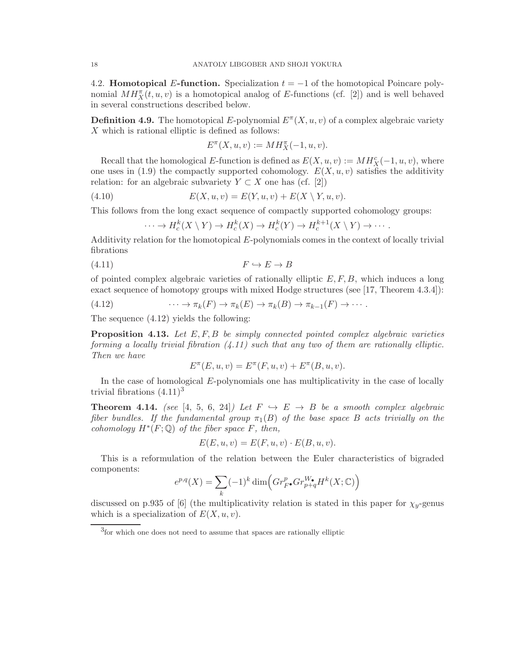4.2. **Homotopical E-function.** Specialization  $t = -1$  of the homotopical Poincare polynomial  $MH_X^{\pi}(t, u, v)$  is a homotopical analog of E-functions (cf. [2]) and is well behaved in several constructions described below.

**Definition 4.9.** The homotopical E-polynomial  $E^{\pi}(X, u, v)$  of a complex algebraic variety  $X$  which is rational elliptic is defined as follows:

$$
E^\pi(X,u,v):=MH_X^\pi(-1,u,v).
$$

Recall that the homological E-function is defined as  $E(X, u, v) := MH_X^c(-1, u, v)$ , where one uses in (1.9) the compactly supported cohomology.  $E(X, u, v)$  satisfies the additivity relation: for an algebraic subvariety  $Y \subset X$  one has (cf. [2])

(4.10) 
$$
E(X, u, v) = E(Y, u, v) + E(X \setminus Y, u, v).
$$

This follows from the long exact sequence of compactly supported cohomology groups:

$$
\cdots \to H_c^k(X \setminus Y) \to H_c^k(X) \to H_c^k(Y) \to H_c^{k+1}(X \setminus Y) \to \cdots
$$

Additivity relation for the homotopical E-polynomials comes in the context of locally trivial fibrations

$$
(4.11)\qquad \qquad F \hookrightarrow E \to B
$$

of pointed complex algebraic varieties of rationally elliptic  $E, F, B$ , which induces a long exact sequence of homotopy groups with mixed Hodge structures (see [17, Theorem 4.3.4]):

(4.12) 
$$
\cdots \to \pi_k(F) \to \pi_k(E) \to \pi_k(B) \to \pi_{k-1}(F) \to \cdots.
$$

The sequence (4.12) yields the following:

Proposition 4.13. *Let* E, F, B *be simply connected pointed complex algebraic varieties forming a locally trivial fibration (4.11) such that any two of them are rationally elliptic. Then we have*

$$
E^{\pi}(E, u, v) = E^{\pi}(F, u, v) + E^{\pi}(B, u, v).
$$

In the case of homological E-polynomials one has multiplicativity in the case of locally trivial fibrations  $(4.11)^3$ 

**Theorem 4.14.** *(see* [4, 5, 6, 24]*)* Let  $F \hookrightarrow E \rightarrow B$  be a smooth complex algebraic *fiber bundles. If the fundamental group*  $\pi_1(B)$  *of the base space* B *acts trivially on the cohomology*  $H^*(F; \mathbb{Q})$  *of the fiber space*  $F$ *, then,* 

$$
E(E, u, v) = E(F, u, v) \cdot E(B, u, v).
$$

This is a reformulation of the relation between the Euler characteristics of bigraded components:

$$
e^{p,q}(X)=\sum_k (-1)^k\dim\Bigl(Gr^p_{F^\bullet}Gr^{W_\bullet}_{p+q}H^k(X;\mathbb C)\Bigr)
$$

discussed on p.935 of [6] (the multiplicativity relation is stated in this paper for  $\chi_y$ -genus which is a specialization of  $E(X, u, v)$ .

<sup>3</sup> for which one does not need to assume that spaces are rationally elliptic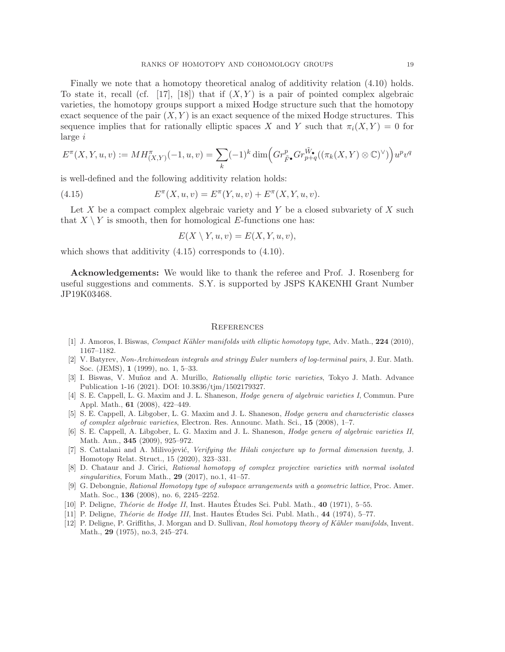Finally we note that a homotopy theoretical analog of additivity relation (4.10) holds. To state it, recall (cf. [17], [18]) that if  $(X, Y)$  is a pair of pointed complex algebraic varieties, the homotopy groups support a mixed Hodge structure such that the homotopy exact sequence of the pair  $(X, Y)$  is an exact sequence of the mixed Hodge structures. This sequence implies that for rationally elliptic spaces X and Y such that  $\pi_i(X, Y) = 0$  for large i

$$
E^{\pi}(X,Y,u,v) := MH^{\pi}_{(X,Y)}(-1,u,v) = \sum_{k} (-1)^{k} \dim \left( Gr^p_{\tilde{F}^{\bullet}} Gr^{\tilde{W}_{\bullet}}_{p+q}((\pi_{k}(X,Y) \otimes \mathbb{C})^{\vee}) \right) u^p v^q
$$

is well-defined and the following additivity relation holds:

(4.15) 
$$
E^{\pi}(X, u, v) = E^{\pi}(Y, u, v) + E^{\pi}(X, Y, u, v).
$$

Let  $X$  be a compact complex algebraic variety and Y be a closed subvariety of  $X$  such that  $X \setminus Y$  is smooth, then for homological E-functions one has:

$$
E(X \setminus Y, u, v) = E(X, Y, u, v),
$$

which shows that additivity  $(4.15)$  corresponds to  $(4.10)$ .

Acknowledgements: We would like to thank the referee and Prof. J. Rosenberg for useful suggestions and comments. S.Y. is supported by JSPS KAKENHI Grant Number JP19K03468.

#### **REFERENCES**

- [1] J. Amoros, I. Biswas, *Compact Kähler manifolds with elliptic homotopy type*, Adv. Math., 224 (2010), 1167–1182.
- [2] V. Batyrev, Non-Archimedean integrals and stringy Euler numbers of log-terminal pairs, J. Eur. Math. Soc. (JEMS), 1 (1999), no. 1, 5–33.
- [3] I. Biswas, V. Muñoz and A. Murillo, *Rationally elliptic toric varieties*, Tokyo J. Math. Advance Publication 1-16 (2021). DOI: 10.3836/tjm/1502179327.
- [4] S. E. Cappell, L. G. Maxim and J. L. Shaneson, Hodge genera of algebraic varieties I, Commun. Pure Appl. Math., 61 (2008), 422–449.
- [5] S. E. Cappell, A. Libgober, L. G. Maxim and J. L. Shaneson, Hodge genera and characteristic classes of complex algebraic varieties, Electron. Res. Announc. Math. Sci., 15 (2008), 1–7.
- [6] S. E. Cappell, A. Libgober, L. G. Maxim and J. L. Shaneson, Hodge genera of algebraic varieties II, Math. Ann., 345 (2009), 925–972.
- [7] S. Cattalani and A. Milivojević, Verifying the Hilali conjecture up to formal dimension twenty, J. Homotopy Relat. Struct., 15 (2020), 323–331.
- [8] D. Chataur and J. Cirici, Rational homotopy of complex projective varieties with normal isolated singularities, Forum Math.,  $29$  (2017), no.1, 41–57.
- [9] G. Debongnie, Rational Homotopy type of subspace arrangements with a geometric lattice, Proc. Amer. Math. Soc., 136 (2008), no. 6, 2245–2252.
- [10] P. Deligne, *Théorie de Hodge II*, Inst. Hautes Études Sci. Publ. Math.,  $40$  (1971), 5–55.
- [11] P. Deligne, *Théorie de Hodge III*, Inst. Hautes Etudes Sci. Publ. Math.,  $44$  (1974), 5–77.
- [12] P. Deligne, P. Griffiths, J. Morgan and D. Sullivan, Real homotopy theory of Kähler manifolds, Invent. Math., 29 (1975), no.3, 245–274.